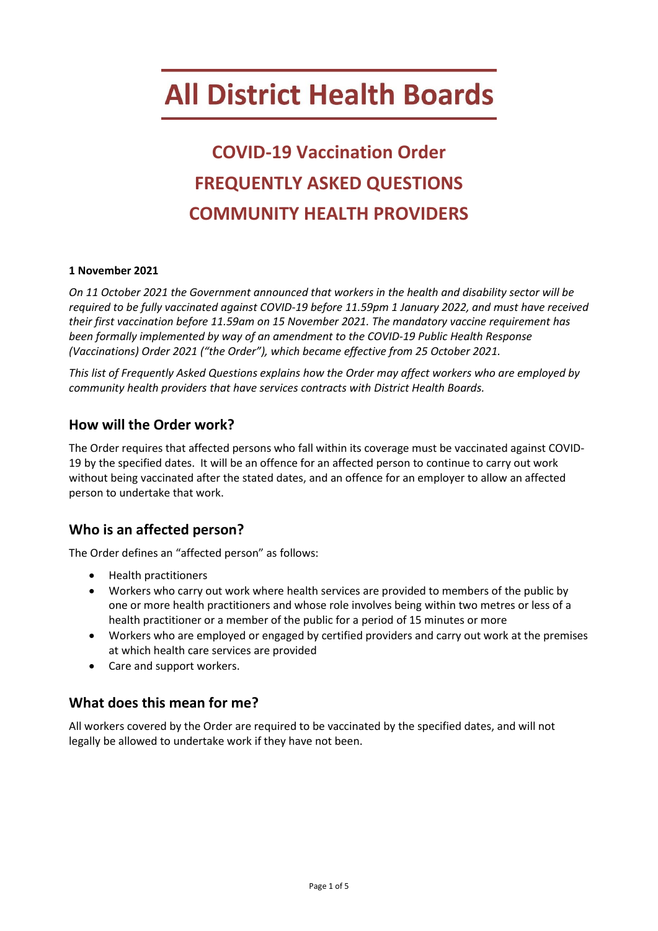# **All District Health Boards**

# **COVID-19 Vaccination Order FREQUENTLY ASKED QUESTIONS COMMUNITY HEALTH PROVIDERS**

#### **1 November 2021**

*On 11 October 2021 the Government announced that workers in the health and disability sector will be required to be fully vaccinated against COVID-19 before 11.59pm 1 January 2022, and must have received their first vaccination before 11.59am on 15 November 2021. The mandatory vaccine requirement has been formally implemented by way of an amendment to the COVID-19 Public Health Response (Vaccinations) Order 2021 ("the Order"), which became effective from 25 October 2021.* 

*This list of Frequently Asked Questions explains how the Order may affect workers who are employed by community health providers that have services contracts with District Health Boards.*

#### **How will the Order work?**

The Order requires that affected persons who fall within its coverage must be vaccinated against COVID-19 by the specified dates. It will be an offence for an affected person to continue to carry out work without being vaccinated after the stated dates, and an offence for an employer to allow an affected person to undertake that work.

# **Who is an affected person?**

The Order defines an "affected person" as follows:

- Health practitioners
- Workers who carry out work where health services are provided to members of the public by one or more health practitioners and whose role involves being within two metres or less of a health practitioner or a member of the public for a period of 15 minutes or more
- Workers who are employed or engaged by certified providers and carry out work at the premises at which health care services are provided
- Care and support workers.

# **What does this mean for me?**

All workers covered by the Order are required to be vaccinated by the specified dates, and will not legally be allowed to undertake work if they have not been.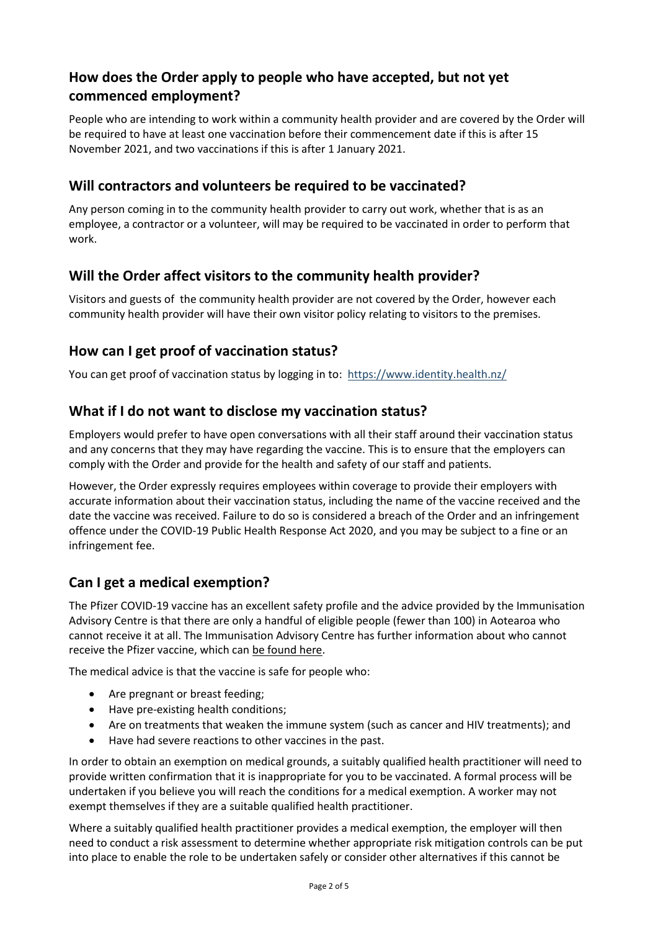# **How does the Order apply to people who have accepted, but not yet commenced employment?**

People who are intending to work within a community health provider and are covered by the Order will be required to have at least one vaccination before their commencement date if this is after 15 November 2021, and two vaccinations if this is after 1 January 2021.

#### **Will contractors and volunteers be required to be vaccinated?**

Any person coming in to the community health provider to carry out work, whether that is as an employee, a contractor or a volunteer, will may be required to be vaccinated in order to perform that work.

# **Will the Order affect visitors to the community health provider?**

Visitors and guests of the community health provider are not covered by the Order, however each community health provider will have their own visitor policy relating to visitors to the premises.

#### **How can I get proof of vaccination status?**

You can get proof of vaccination status by logging in to:<https://www.identity.health.nz/>

#### **What if I do not want to disclose my vaccination status?**

Employers would prefer to have open conversations with all their staff around their vaccination status and any concerns that they may have regarding the vaccine. This is to ensure that the employers can comply with the Order and provide for the health and safety of our staff and patients.

However, the Order expressly requires employees within coverage to provide their employers with accurate information about their vaccination status, including the name of the vaccine received and the date the vaccine was received. Failure to do so is considered a breach of the Order and an infringement offence under the COVID-19 Public Health Response Act 2020, and you may be subject to a fine or an infringement fee.

# **Can I get a medical exemption?**

The Pfizer COVID-19 vaccine has an excellent safety profile and the advice provided by the Immunisation Advisory Centre is that there are only a handful of eligible people (fewer than 100) in Aotearoa who cannot receive it at all. The Immunisation Advisory Centre has further information about who cannot receive the Pfizer vaccine, which can [be found here.](https://covid.immune.org.nz/news-insights/who-cant-have-pfizerbiontech-covid-19-vaccine)

The medical advice is that the vaccine is safe for people who:

- Are pregnant or breast feeding;
- Have pre-existing health conditions;
- Are on treatments that weaken the immune system (such as cancer and HIV treatments); and
- Have had severe reactions to other vaccines in the past.

In order to obtain an exemption on medical grounds, a suitably qualified health practitioner will need to provide written confirmation that it is inappropriate for you to be vaccinated. A formal process will be undertaken if you believe you will reach the conditions for a medical exemption. A worker may not exempt themselves if they are a suitable qualified health practitioner.

Where a suitably qualified health practitioner provides a medical exemption, the employer will then need to conduct a risk assessment to determine whether appropriate risk mitigation controls can be put into place to enable the role to be undertaken safely or consider other alternatives if this cannot be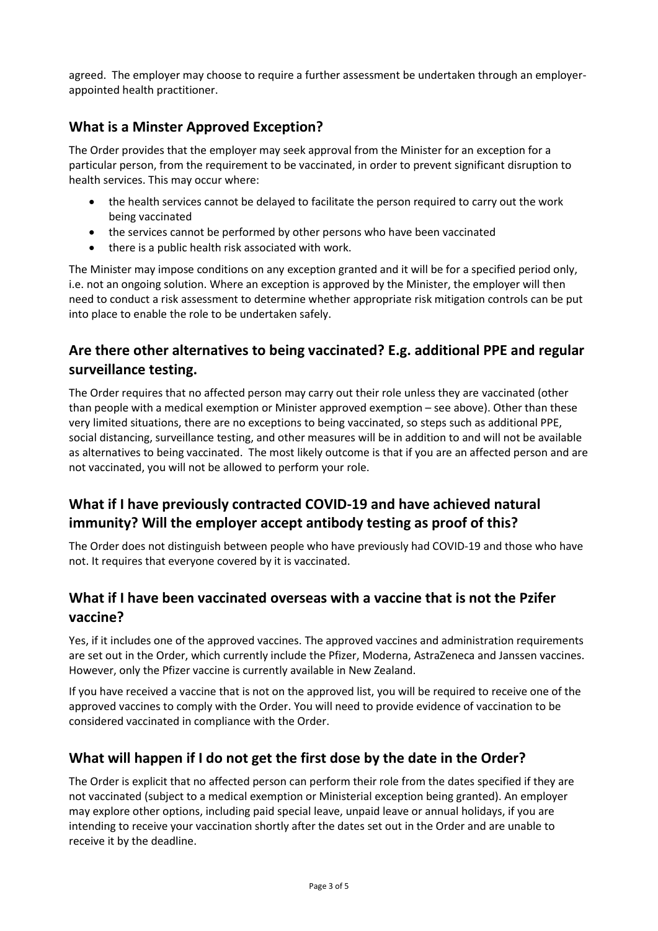agreed. The employer may choose to require a further assessment be undertaken through an employerappointed health practitioner.

# **What is a Minster Approved Exception?**

The Order provides that the employer may seek approval from the Minister for an exception for a particular person, from the requirement to be vaccinated, in order to prevent significant disruption to health services. This may occur where:

- the health services cannot be delayed to facilitate the person required to carry out the work being vaccinated
- the services cannot be performed by other persons who have been vaccinated
- there is a public health risk associated with work.

The Minister may impose conditions on any exception granted and it will be for a specified period only, i.e. not an ongoing solution. Where an exception is approved by the Minister, the employer will then need to conduct a risk assessment to determine whether appropriate risk mitigation controls can be put into place to enable the role to be undertaken safely.

# **Are there other alternatives to being vaccinated? E.g. additional PPE and regular surveillance testing.**

The Order requires that no affected person may carry out their role unless they are vaccinated (other than people with a medical exemption or Minister approved exemption – see above). Other than these very limited situations, there are no exceptions to being vaccinated, so steps such as additional PPE, social distancing, surveillance testing, and other measures will be in addition to and will not be available as alternatives to being vaccinated. The most likely outcome is that if you are an affected person and are not vaccinated, you will not be allowed to perform your role.

# **What if I have previously contracted COVID-19 and have achieved natural immunity? Will the employer accept antibody testing as proof of this?**

The Order does not distinguish between people who have previously had COVID-19 and those who have not. It requires that everyone covered by it is vaccinated.

# **What if I have been vaccinated overseas with a vaccine that is not the Pzifer vaccine?**

Yes, if it includes one of the approved vaccines. The approved vaccines and administration requirements are set out in the Order, which currently include the Pfizer, Moderna, AstraZeneca and Janssen vaccines. However, only the Pfizer vaccine is currently available in New Zealand.

If you have received a vaccine that is not on the approved list, you will be required to receive one of the approved vaccines to comply with the Order. You will need to provide evidence of vaccination to be considered vaccinated in compliance with the Order.

# **What will happen if I do not get the first dose by the date in the Order?**

The Order is explicit that no affected person can perform their role from the dates specified if they are not vaccinated (subject to a medical exemption or Ministerial exception being granted). An employer may explore other options, including paid special leave, unpaid leave or annual holidays, if you are intending to receive your vaccination shortly after the dates set out in the Order and are unable to receive it by the deadline.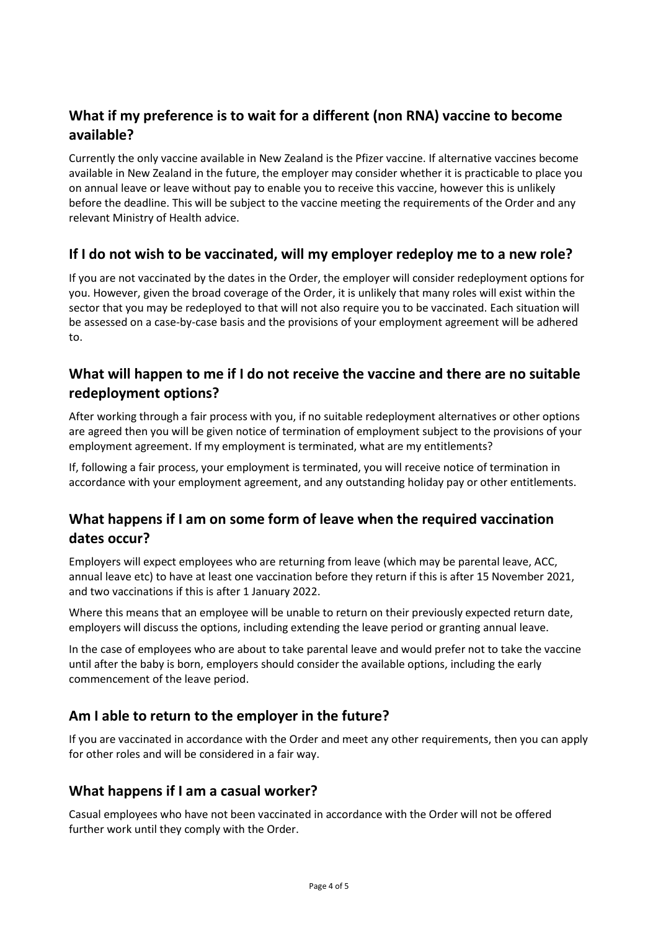# **What if my preference is to wait for a different (non RNA) vaccine to become available?**

Currently the only vaccine available in New Zealand is the Pfizer vaccine. If alternative vaccines become available in New Zealand in the future, the employer may consider whether it is practicable to place you on annual leave or leave without pay to enable you to receive this vaccine, however this is unlikely before the deadline. This will be subject to the vaccine meeting the requirements of the Order and any relevant Ministry of Health advice.

# **If I do not wish to be vaccinated, will my employer redeploy me to a new role?**

If you are not vaccinated by the dates in the Order, the employer will consider redeployment options for you. However, given the broad coverage of the Order, it is unlikely that many roles will exist within the sector that you may be redeployed to that will not also require you to be vaccinated. Each situation will be assessed on a case-by-case basis and the provisions of your employment agreement will be adhered to.

# **What will happen to me if I do not receive the vaccine and there are no suitable redeployment options?**

After working through a fair process with you, if no suitable redeployment alternatives or other options are agreed then you will be given notice of termination of employment subject to the provisions of your employment agreement. If my employment is terminated, what are my entitlements?

If, following a fair process, your employment is terminated, you will receive notice of termination in accordance with your employment agreement, and any outstanding holiday pay or other entitlements.

# **What happens if I am on some form of leave when the required vaccination dates occur?**

Employers will expect employees who are returning from leave (which may be parental leave, ACC, annual leave etc) to have at least one vaccination before they return if this is after 15 November 2021, and two vaccinations if this is after 1 January 2022.

Where this means that an employee will be unable to return on their previously expected return date, employers will discuss the options, including extending the leave period or granting annual leave.

In the case of employees who are about to take parental leave and would prefer not to take the vaccine until after the baby is born, employers should consider the available options, including the early commencement of the leave period.

# **Am I able to return to the employer in the future?**

If you are vaccinated in accordance with the Order and meet any other requirements, then you can apply for other roles and will be considered in a fair way.

# **What happens if I am a casual worker?**

Casual employees who have not been vaccinated in accordance with the Order will not be offered further work until they comply with the Order.